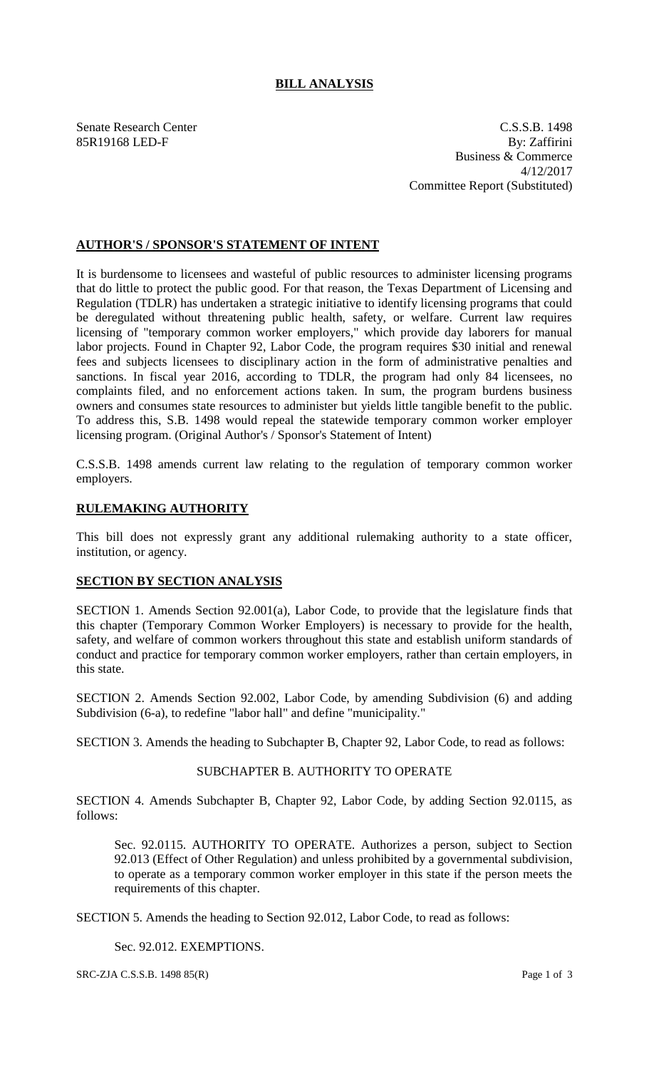### **BILL ANALYSIS**

Senate Research Center C.S.S.B. 1498 85R19168 LED-F By: Zaffirini Business & Commerce 4/12/2017 Committee Report (Substituted)

#### **AUTHOR'S / SPONSOR'S STATEMENT OF INTENT**

It is burdensome to licensees and wasteful of public resources to administer licensing programs that do little to protect the public good. For that reason, the Texas Department of Licensing and Regulation (TDLR) has undertaken a strategic initiative to identify licensing programs that could be deregulated without threatening public health, safety, or welfare. Current law requires licensing of "temporary common worker employers," which provide day laborers for manual labor projects. Found in Chapter 92, Labor Code, the program requires \$30 initial and renewal fees and subjects licensees to disciplinary action in the form of administrative penalties and sanctions. In fiscal year 2016, according to TDLR, the program had only 84 licensees, no complaints filed, and no enforcement actions taken. In sum, the program burdens business owners and consumes state resources to administer but yields little tangible benefit to the public. To address this, S.B. 1498 would repeal the statewide temporary common worker employer licensing program. (Original Author's / Sponsor's Statement of Intent)

C.S.S.B. 1498 amends current law relating to the regulation of temporary common worker employers.

#### **RULEMAKING AUTHORITY**

This bill does not expressly grant any additional rulemaking authority to a state officer, institution, or agency.

## **SECTION BY SECTION ANALYSIS**

SECTION 1. Amends Section 92.001(a), Labor Code, to provide that the legislature finds that this chapter (Temporary Common Worker Employers) is necessary to provide for the health, safety, and welfare of common workers throughout this state and establish uniform standards of conduct and practice for temporary common worker employers, rather than certain employers, in this state.

SECTION 2. Amends Section 92.002, Labor Code, by amending Subdivision (6) and adding Subdivision (6-a), to redefine "labor hall" and define "municipality."

SECTION 3. Amends the heading to Subchapter B, Chapter 92, Labor Code, to read as follows:

# SUBCHAPTER B. AUTHORITY TO OPERATE

SECTION 4. Amends Subchapter B, Chapter 92, Labor Code, by adding Section 92.0115, as follows:

Sec. 92.0115. AUTHORITY TO OPERATE. Authorizes a person, subject to Section 92.013 (Effect of Other Regulation) and unless prohibited by a governmental subdivision, to operate as a temporary common worker employer in this state if the person meets the requirements of this chapter.

SECTION 5. Amends the heading to Section 92.012, Labor Code, to read as follows:

Sec. 92.012. EXEMPTIONS.

SRC-ZJA C.S.S.B. 1498 85(R) Page 1 of 3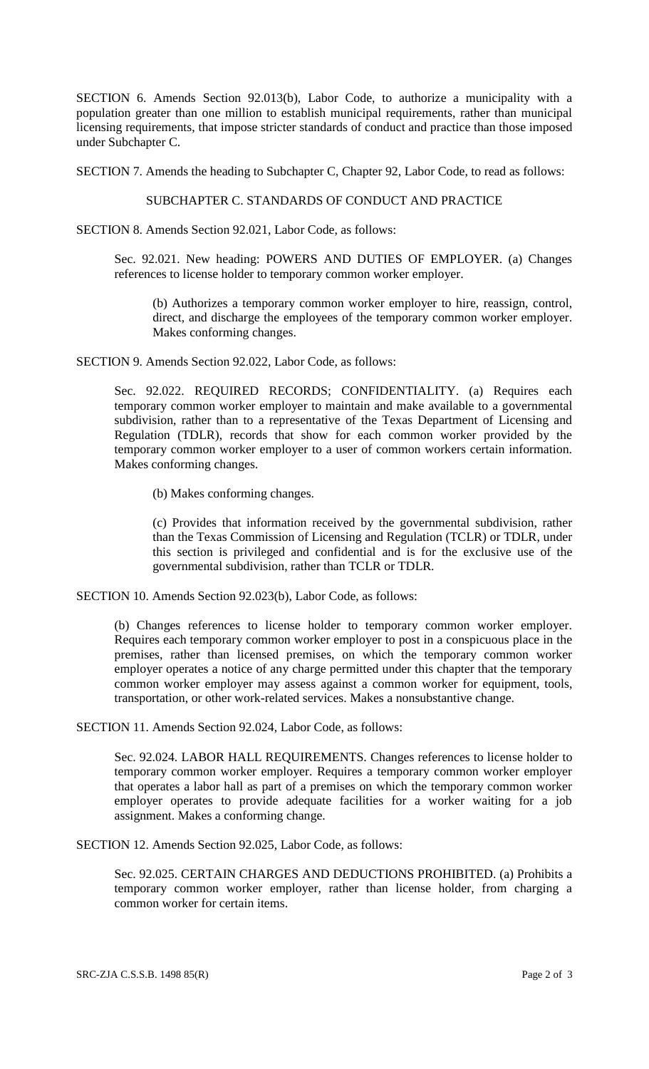SECTION 6. Amends Section 92.013(b), Labor Code, to authorize a municipality with a population greater than one million to establish municipal requirements, rather than municipal licensing requirements, that impose stricter standards of conduct and practice than those imposed under Subchapter C.

SECTION 7. Amends the heading to Subchapter C, Chapter 92, Labor Code, to read as follows:

## SUBCHAPTER C. STANDARDS OF CONDUCT AND PRACTICE

SECTION 8. Amends Section 92.021, Labor Code, as follows:

Sec. 92.021. New heading: POWERS AND DUTIES OF EMPLOYER. (a) Changes references to license holder to temporary common worker employer.

(b) Authorizes a temporary common worker employer to hire, reassign, control, direct, and discharge the employees of the temporary common worker employer. Makes conforming changes.

SECTION 9. Amends Section 92.022, Labor Code, as follows:

Sec. 92.022. REQUIRED RECORDS; CONFIDENTIALITY. (a) Requires each temporary common worker employer to maintain and make available to a governmental subdivision, rather than to a representative of the Texas Department of Licensing and Regulation (TDLR), records that show for each common worker provided by the temporary common worker employer to a user of common workers certain information. Makes conforming changes.

(b) Makes conforming changes.

(c) Provides that information received by the governmental subdivision, rather than the Texas Commission of Licensing and Regulation (TCLR) or TDLR, under this section is privileged and confidential and is for the exclusive use of the governmental subdivision, rather than TCLR or TDLR.

SECTION 10. Amends Section 92.023(b), Labor Code, as follows:

(b) Changes references to license holder to temporary common worker employer. Requires each temporary common worker employer to post in a conspicuous place in the premises, rather than licensed premises, on which the temporary common worker employer operates a notice of any charge permitted under this chapter that the temporary common worker employer may assess against a common worker for equipment, tools, transportation, or other work-related services. Makes a nonsubstantive change.

SECTION 11. Amends Section 92.024, Labor Code, as follows:

Sec. 92.024. LABOR HALL REQUIREMENTS. Changes references to license holder to temporary common worker employer. Requires a temporary common worker employer that operates a labor hall as part of a premises on which the temporary common worker employer operates to provide adequate facilities for a worker waiting for a job assignment. Makes a conforming change.

SECTION 12. Amends Section 92.025, Labor Code, as follows:

Sec. 92.025. CERTAIN CHARGES AND DEDUCTIONS PROHIBITED. (a) Prohibits a temporary common worker employer, rather than license holder, from charging a common worker for certain items.